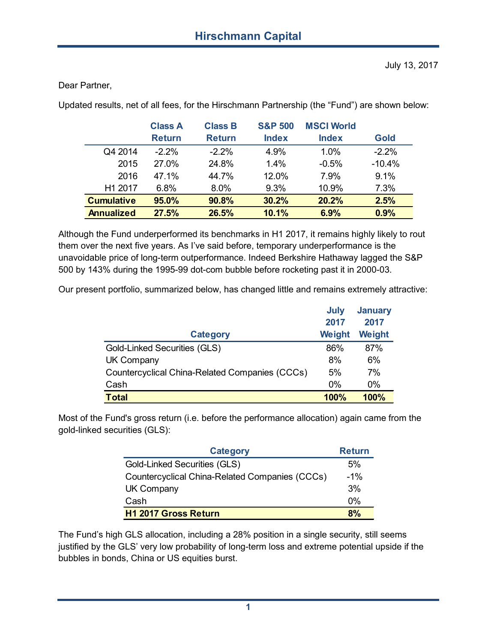Dear Partner,

Updated results, net of all fees, for the Hirschmann Partnership (the "Fund") are shown below:

|                   | <b>Class A</b> | <b>Class B</b> | <b>S&amp;P 500</b> | <b>MSCI World</b> |             |
|-------------------|----------------|----------------|--------------------|-------------------|-------------|
|                   | <b>Return</b>  | <b>Return</b>  | <b>Index</b>       | <b>Index</b>      | <b>Gold</b> |
| Q4 2014           | $-2.2%$        | $-2.2\%$       | 4.9%               | 1.0%              | $-2.2%$     |
| 2015              | 27.0%          | 24.8%          | 1.4%               | $-0.5%$           | $-10.4%$    |
| 2016              | 47 1%          | 44.7%          | 12.0%              | 7.9%              | 9.1%        |
| H1 2017           | 6.8%           | 8.0%           | 9.3%               | 10.9%             | 7.3%        |
| <b>Cumulative</b> | 95.0%          | 90.8%          | 30.2%              | 20.2%             | 2.5%        |
| <b>Annualized</b> | 27.5%          | 26.5%          | 10.1%              | 6.9%              | 0.9%        |

Although the Fund underperformed its benchmarks in H1 2017, it remains highly likely to rout them over the next five years. As I've said before, temporary underperformance is the unavoidable price of long-term outperformance. Indeed Berkshire Hathaway lagged the S&P 500 by 143% during the 1995-99 dot-com bubble before rocketing past it in 2000-03.

Our present portfolio, summarized below, has changed little and remains extremely attractive:

|                                                | July   | <b>January</b> |
|------------------------------------------------|--------|----------------|
|                                                | 2017   | 2017           |
| <b>Category</b>                                | Weight | Weight         |
| <b>Gold-Linked Securities (GLS)</b>            | 86%    | 87%            |
| <b>UK Company</b>                              | 8%     | 6%             |
| Countercyclical China-Related Companies (CCCs) | 5%     | 7%             |
| Cash                                           | $0\%$  | $0\%$          |
| <b>Total</b>                                   | 100%   | <b>100%</b>    |

Most of the Fund's gross return (i.e. before the performance allocation) again came from the gold-linked securities (GLS):

| <b>Category</b>                                | <b>Return</b> |
|------------------------------------------------|---------------|
| Gold-Linked Securities (GLS)                   | 5%            |
| Countercyclical China-Related Companies (CCCs) | $-1\%$        |
| <b>UK Company</b>                              | 3%            |
| Cash                                           | 0%            |
| H1 2017 Gross Return                           | 8%            |

The Fund's high GLS allocation, including a 28% position in a single security, still seems justified by the GLS' very low probability of long-term loss and extreme potential upside if the bubbles in bonds, China or US equities burst.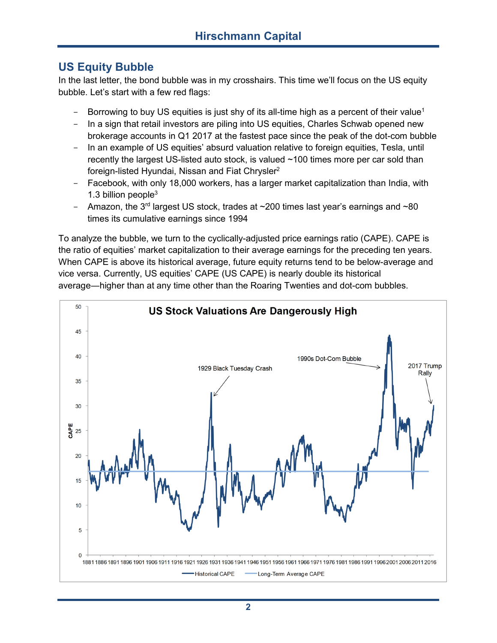## **US Equity Bubble**

In the last letter, the bond bubble was in my crosshairs. This time we'll focus on the US equity bubble. Let's start with a few red flags:

- Borrowing to buy US equities is just shy of its all-time high as a percent of their value<sup>1</sup>
- In a sign that retail investors are piling into US equities, Charles Schwab opened new brokerage accounts in Q1 2017 at the fastest pace since the peak of the dot-com bubble
- In an example of US equities' absurd valuation relative to foreign equities, Tesla, until recently the largest US-listed auto stock, is valued ~100 times more per car sold than foreign-listed Hyundai, Nissan and Fiat Chrysler<sup>2</sup>
- Facebook, with only 18,000 workers, has a larger market capitalization than India, with 1.3 billion people $3$
- Amazon, the  $3<sup>rd</sup>$  largest US stock, trades at  $\sim$ 200 times last year's earnings and  $\sim$ 80 times its cumulative earnings since 1994

To analyze the bubble, we turn to the cyclically-adjusted price earnings ratio (CAPE). CAPE is the ratio of equities' market capitalization to their average earnings for the preceding ten years. When CAPE is above its historical average, future equity returns tend to be below-average and vice versa. Currently, US equities' CAPE (US CAPE) is nearly double its historical average―higher than at any time other than the Roaring Twenties and dot-com bubbles.

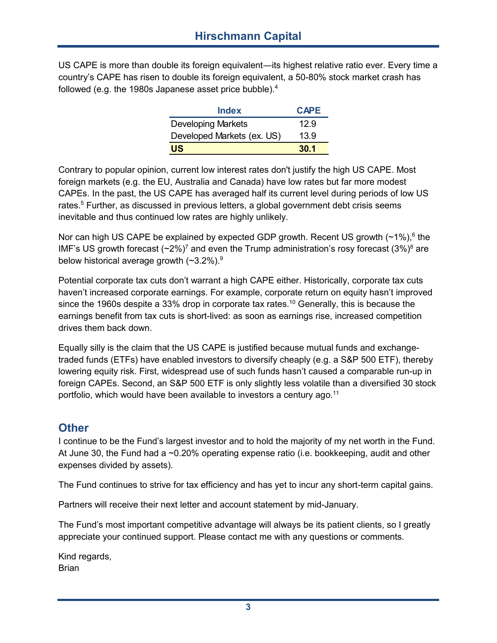US CAPE is more than double its foreign equivalent―its highest relative ratio ever. Every time a country's CAPE has risen to double its foreign equivalent, a 50-80% stock market crash has followed (e.g. the 1980s Japanese asset price bubble).<sup>4</sup>

| <b>Index</b>               | <b>CAPE</b> |
|----------------------------|-------------|
| <b>Developing Markets</b>  | 12.9        |
| Developed Markets (ex. US) | 13.9        |
| <b>US</b>                  | 30.1        |

Contrary to popular opinion, current low interest rates don't justify the high US CAPE. Most foreign markets (e.g. the EU, Australia and Canada) have low rates but far more modest CAPEs. In the past, the US CAPE has averaged half its current level during periods of low US rates.<sup>5</sup> Further, as discussed in previous letters, a global government debt crisis seems inevitable and thus continued low rates are highly unlikely.

Nor can high US CAPE be explained by expected GDP growth. Recent US growth (~1%), $^6$  the IMF's US growth forecast  $({\sim}2\%)^7$  and even the Trump administration's rosy forecast  $(3\%)^8$  are below historical average growth  $(*3.2\%)$ <sup>9</sup>

Potential corporate tax cuts don't warrant a high CAPE either. Historically, corporate tax cuts haven't increased corporate earnings. For example, corporate return on equity hasn't improved since the 1960s despite a 33% drop in corporate tax rates.<sup>10</sup> Generally, this is because the earnings benefit from tax cuts is short-lived: as soon as earnings rise, increased competition drives them back down.

Equally silly is the claim that the US CAPE is justified because mutual funds and exchangetraded funds (ETFs) have enabled investors to diversify cheaply (e.g. a S&P 500 ETF), thereby lowering equity risk. First, widespread use of such funds hasn't caused a comparable run-up in foreign CAPEs. Second, an S&P 500 ETF is only slightly less volatile than a diversified 30 stock portfolio, which would have been available to investors a century ago.<sup>11</sup>

## **Other**

I continue to be the Fund's largest investor and to hold the majority of my net worth in the Fund. At June 30, the Fund had a ~0.20% operating expense ratio (i.e. bookkeeping, audit and other expenses divided by assets).

The Fund continues to strive for tax efficiency and has yet to incur any short-term capital gains.

Partners will receive their next letter and account statement by mid-January.

The Fund's most important competitive advantage will always be its patient clients, so I greatly appreciate your continued support. Please contact me with any questions or comments.

Kind regards, **Brian**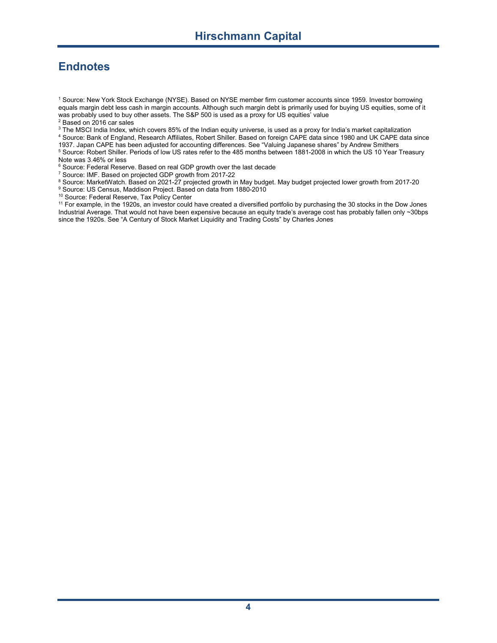## **Endnotes**

<sup>1</sup> Source: New York Stock Exchange (NYSE). Based on NYSE member firm customer accounts since 1959. Investor borrowing equals margin debt less cash in margin accounts. Although such margin debt is primarily used for buying US equities, some of it was probably used to buy other assets. The S&P 500 is used as a proxy for US equities' value <sup>2</sup> Based on 2016 carsales

<sup>3</sup> The MSCI India Index, which covers 85% of the Indian equity universe, is used as a proxy for India's market capitalization

<sup>4</sup> Source: Bank of England, Research Affiliates, Robert Shiller. Based on foreign CAPE data since 1980 and UK CAPE data since 1937. Japan CAPE has been adjusted for accounting differences. See "Valuing Japanese shares" by Andrew Smithers <sup>5</sup> Source: Robert Shiller. Periods of low US rates refer to the 485 months between 1881-2008 in which the US 10 Year Treasury

Note was 3.46% or less

<sup>6</sup> Source: Federal Reserve. Based on real GDP growth over the last decade

<sup>7</sup> Source: IMF. Based on projected GDP growth from 2017-22

<sup>8</sup> Source: MarketWatch. Based on 2021-27 projected growth in May budget. May budget projected lower growth from 2017-20

<sup>9</sup> Source: US Census, Maddison Project. Based on data from 1880-2010

<sup>10</sup> Source: Federal Reserve, Tax Policy Center

<sup>11</sup> For example, in the 1920s, an investor could have created a diversified portfolio by purchasing the 30 stocks in the Dow Jones Industrial Average. That would not have been expensive because an equity trade's average cost has probably fallen only ~30bps since the 1920s. See "A Century of Stock Market Liquidity and Trading Costs" by Charles Jones